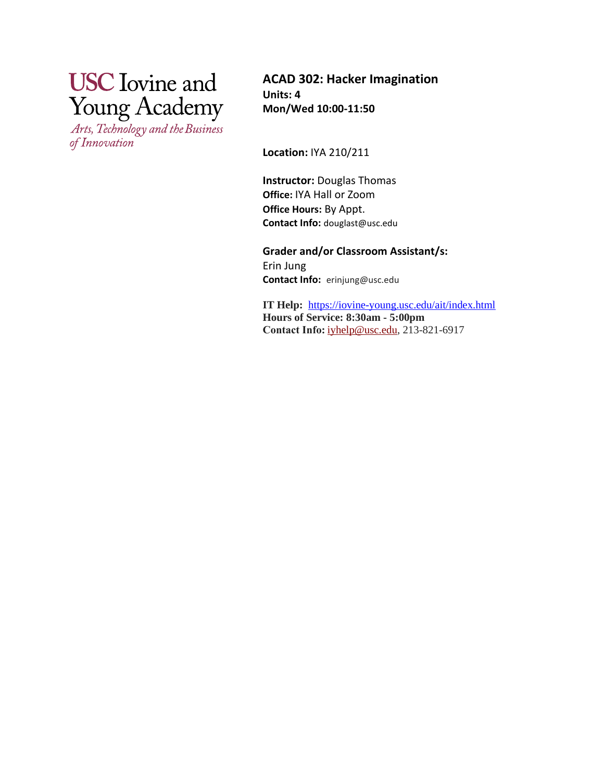# **USC** Iovine and **Young Academy**

Arts, Technology and the Business of Innovation

**ACAD 302: Hacker Imagination Units: 4 Mon/Wed 10:00-11:50**

**Location:** IYA 210/211

**Instructor:** Douglas Thomas **Office:** IYA Hall or Zoom **Office Hours:** By Appt. **Contact Info:** douglast@usc.edu

**Grader and/or Classroom Assistant/s:**  Erin Jung **Contact Info:** erinjung@usc.edu

**IT Help:** <https://iovine-young.usc.edu/ait/index.html> **Hours of Service: 8:30am - 5:00pm Contact Info:**[iyhelp@usc.edu,](mailto:iyhelp@usc.edu) 213-821-6917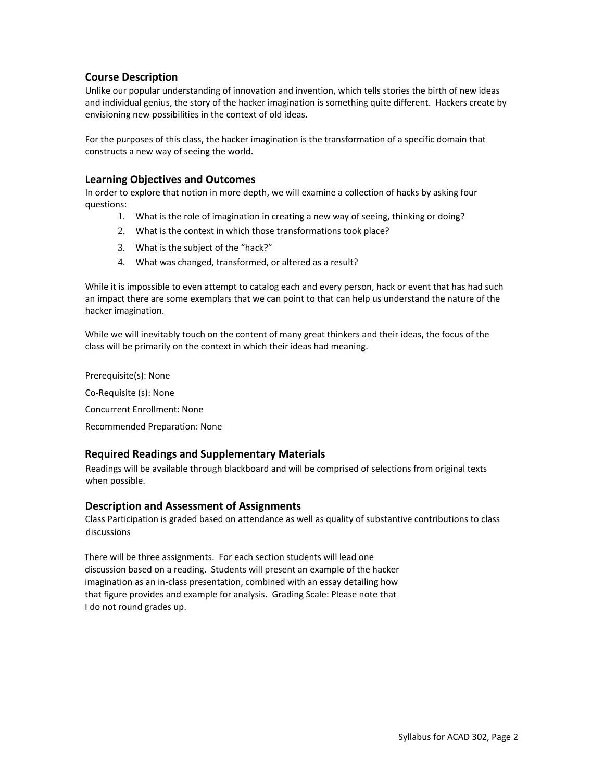## **Course Description**

Unlike our popular understanding of innovation and invention, which tells stories the birth of new ideas and individual genius, the story of the hacker imagination is something quite different. Hackers create by envisioning new possibilities in the context of old ideas.

For the purposes of this class, the hacker imagination is the transformation of a specific domain that constructs a new way of seeing the world.

## **Learning Objectives and Outcomes**

In order to explore that notion in more depth, we will examine a collection of hacks by asking four questions:

- 1. What is the role of imagination in creating a new way of seeing, thinking or doing?
- 2. What is the context in which those transformations took place?
- 3. What is the subject of the "hack?"
- 4. What was changed, transformed, or altered as a result?

While it is impossible to even attempt to catalog each and every person, hack or event that has had such an impact there are some exemplars that we can point to that can help us understand the nature of the hacker imagination.

While we will inevitably touch on the content of many great thinkers and their ideas, the focus of the class will be primarily on the context in which their ideas had meaning.

Prerequisite(s): None Co-Requisite (s): None Concurrent Enrollment: None Recommended Preparation: None

## **Required Readings and Supplementary Materials**

Readings will be available through blackboard and will be comprised of selections from original texts when possible.

## **Description and Assessment of Assignments**

Class Participation is graded based on attendance as well as quality of substantive contributions to class discussions

There will be three assignments. For each section students will lead one discussion based on a reading. Students will present an example of the hacker imagination as an in-class presentation, combined with an essay detailing how that figure provides and example for analysis. Grading Scale: Please note that I do not round grades up.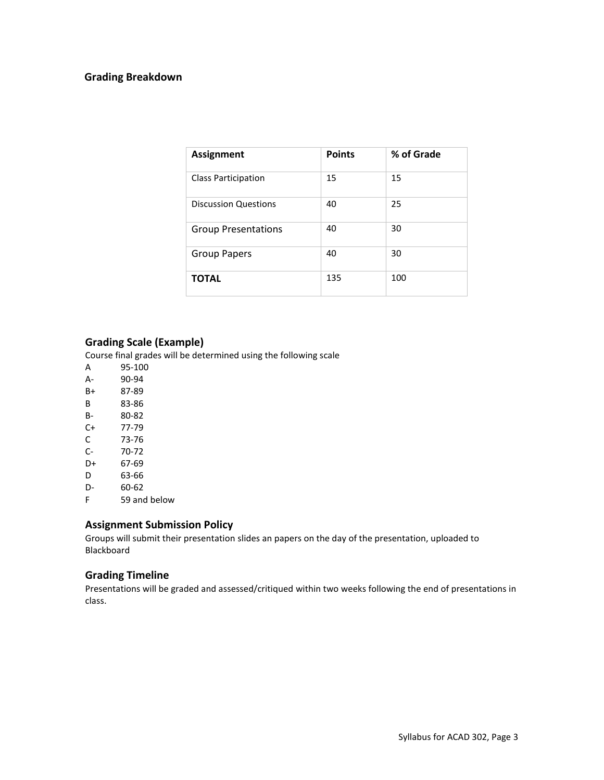## **Grading Breakdown**

| <b>Assignment</b>           | <b>Points</b> | % of Grade |
|-----------------------------|---------------|------------|
| <b>Class Participation</b>  | 15            | 15         |
| <b>Discussion Questions</b> | 40            | 25         |
| <b>Group Presentations</b>  | 40            | 30         |
| Group Papers                | 40            | 30         |
| <b>TOTAL</b>                | 135           | 100        |

## **Grading Scale (Example)**

Course final grades will be determined using the following scale

- A 95-100 A- 90-94 B+ 87-89 B 83-86 B- 80-82 C+ 77-79 C 73-76 C- 70-72 D+ 67-69 D 63-66 D- 60-62
- F 59 and below

## **Assignment Submission Policy**

Groups will submit their presentation slides an papers on the day of the presentation, uploaded to Blackboard

## **Grading Timeline**

Presentations will be graded and assessed/critiqued within two weeks following the end of presentations in class.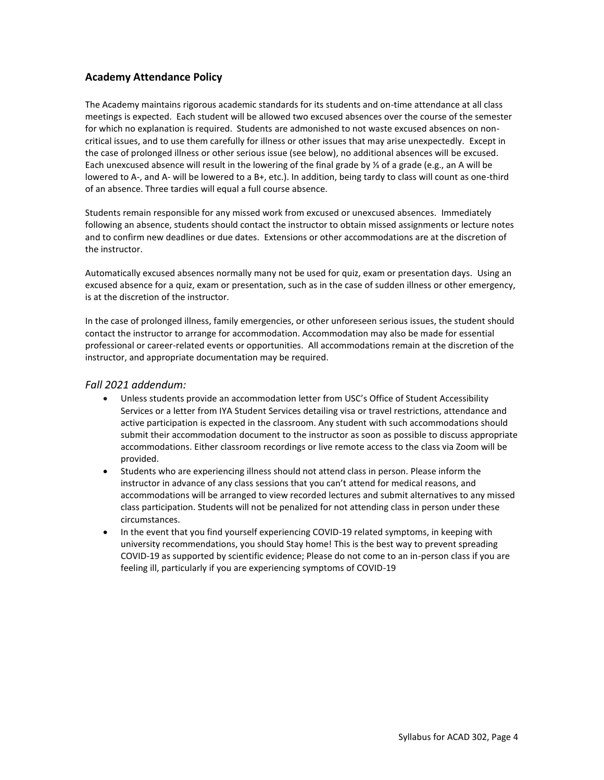## **Academy Attendance Policy**

The Academy maintains rigorous academic standards for its students and on-time attendance at all class meetings is expected. Each student will be allowed two excused absences over the course of the semester for which no explanation is required. Students are admonished to not waste excused absences on noncritical issues, and to use them carefully for illness or other issues that may arise unexpectedly. Except in the case of prolonged illness or other serious issue (see below), no additional absences will be excused. Each unexcused absence will result in the lowering of the final grade by ⅓ of a grade (e.g., an A will be lowered to A-, and A- will be lowered to a B+, etc.). In addition, being tardy to class will count as one-third of an absence. Three tardies will equal a full course absence.

Students remain responsible for any missed work from excused or unexcused absences. Immediately following an absence, students should contact the instructor to obtain missed assignments or lecture notes and to confirm new deadlines or due dates. Extensions or other accommodations are at the discretion of the instructor.

Automatically excused absences normally many not be used for quiz, exam or presentation days. Using an excused absence for a quiz, exam or presentation, such as in the case of sudden illness or other emergency, is at the discretion of the instructor.

In the case of prolonged illness, family emergencies, or other unforeseen serious issues, the student should contact the instructor to arrange for accommodation. Accommodation may also be made for essential professional or career-related events or opportunities. All accommodations remain at the discretion of the instructor, and appropriate documentation may be required.

## *Fall 2021 addendum:*

- Unless students provide an accommodation letter from USC's Office of Student Accessibility Services or a letter from IYA Student Services detailing visa or travel restrictions, attendance and active participation is expected in the classroom. Any student with such accommodations should submit their accommodation document to the instructor as soon as possible to discuss appropriate accommodations. Either classroom recordings or live remote access to the class via Zoom will be provided.
- Students who are experiencing illness should not attend class in person. Please inform the instructor in advance of any class sessions that you can't attend for medical reasons, and accommodations will be arranged to view recorded lectures and submit alternatives to any missed class participation. Students will not be penalized for not attending class in person under these circumstances.
- In the event that you find yourself experiencing COVID-19 related symptoms, in keeping with university recommendations, you should Stay home! This is the best way to prevent spreading COVID-19 as supported by scientific evidence; Please do not come to an in-person class if you are feeling ill, particularly if you are experiencing symptoms of COVID-19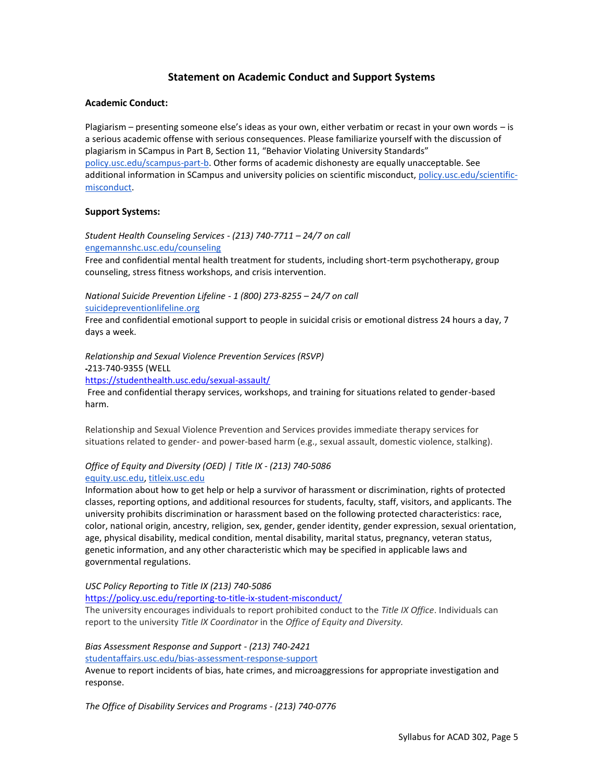## **Statement on Academic Conduct and Support Systems**

#### **Academic Conduct:**

Plagiarism – presenting someone else's ideas as your own, either verbatim or recast in your own words – is a serious academic offense with serious consequences. Please familiarize yourself with the discussion of plagiarism in SCampus in Part B, Section 11, "Behavior Violating University Standards" [policy.usc.edu/scampus-part-b.](https://policy.usc.edu/scampus-part-b/) Other forms of academic dishonesty are equally unacceptable. See additional information in SCampus and university policies on scientific misconduct[, policy.usc.edu/scientific](http://policy.usc.edu/scientific-misconduct)[misconduct.](http://policy.usc.edu/scientific-misconduct)

#### **Support Systems:**

*Student Health Counseling Services - (213) 740-7711 – 24/7 on call* [engemannshc.usc.edu/counseling](https://engemannshc.usc.edu/counseling/)

Free and confidential mental health treatment for students, including short-term psychotherapy, group counseling, stress fitness workshops, and crisis intervention.

*National Suicide Prevention Lifeline - 1 (800) 273-8255 – 24/7 on call* [suicidepreventionlifeline.org](http://www.suicidepreventionlifeline.org/)

Free and confidential emotional support to people in suicidal crisis or emotional distress 24 hours a day, 7 days a week.

*Relationship and Sexual Violence Prevention Services (RSVP)* 

213-740-9355 (WELL

<https://studenthealth.usc.edu/sexual-assault/>

Free and confidential therapy services, workshops, and training for situations related to gender-based harm.

Relationship and Sexual Violence Prevention and Services provides immediate therapy services for situations related to gender- and power-based harm (e.g., sexual assault, domestic violence, stalking)[.](https://engemannshc.usc.edu/rsvp/)

## *Office of Equity and Diversity (OED) | Title IX - (213) 740-5086* [equity.usc.edu,](https://equity.usc.edu/) [titleix.usc.edu](http://titleix.usc.edu/)

Information about how to get help or help a survivor of harassment or discrimination, rights of protected classes, reporting options, and additional resources for students, faculty, staff, visitors, and applicants. The university prohibits discrimination or harassment based on the following protected characteristics: race, color, national origin, ancestry, religion, sex, gender, gender identity, gender expression, sexual orientation, age, physical disability, medical condition, mental disability, marital status, pregnancy, veteran status, genetic information, and any other characteristic which may be specified in applicable laws and governmental regulations.

*USC Policy Reporting to Title IX (213) 740-5086*

<https://policy.usc.edu/reporting-to-title-ix-student-misconduct/>

The university encourages individuals to report prohibited conduct to the *Title IX Office*. Individuals can report to the university *Title IX Coordinator* in the *Office of Equity and Diversity[.](http://sarc.usc.edu/)*

#### *Bias Assessment Response and Support - (213) 740-2421* [studentaffairs.usc.edu/bias-assessment-response-support](https://studentaffairs.usc.edu/bias-assessment-response-support/)

Avenue to report incidents of bias, hate crimes, and microaggressions for appropriate investigation and response[.](https://studentaffairs.usc.edu/bias-assessment-response-support/)

*The Office of Disability Services and Programs - (213) 740-0776*